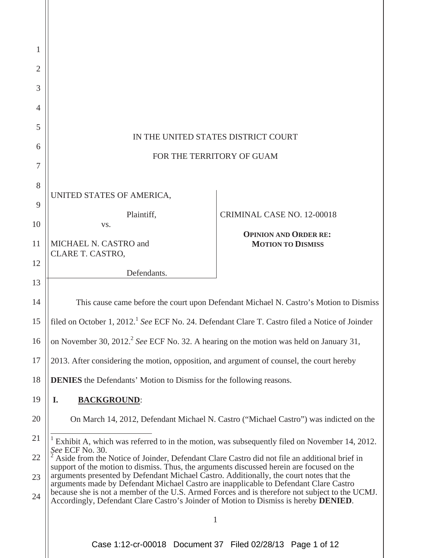| 1              |                                                                                                                                                                                                                                                                                                                                                                                                                                                                                                                                                                                            |                                                          |
|----------------|--------------------------------------------------------------------------------------------------------------------------------------------------------------------------------------------------------------------------------------------------------------------------------------------------------------------------------------------------------------------------------------------------------------------------------------------------------------------------------------------------------------------------------------------------------------------------------------------|----------------------------------------------------------|
| $\overline{2}$ |                                                                                                                                                                                                                                                                                                                                                                                                                                                                                                                                                                                            |                                                          |
| 3              |                                                                                                                                                                                                                                                                                                                                                                                                                                                                                                                                                                                            |                                                          |
| 4              |                                                                                                                                                                                                                                                                                                                                                                                                                                                                                                                                                                                            |                                                          |
| 5              | IN THE UNITED STATES DISTRICT COURT                                                                                                                                                                                                                                                                                                                                                                                                                                                                                                                                                        |                                                          |
| 6              |                                                                                                                                                                                                                                                                                                                                                                                                                                                                                                                                                                                            |                                                          |
| 7              | FOR THE TERRITORY OF GUAM                                                                                                                                                                                                                                                                                                                                                                                                                                                                                                                                                                  |                                                          |
| 8              |                                                                                                                                                                                                                                                                                                                                                                                                                                                                                                                                                                                            |                                                          |
| 9              | UNITED STATES OF AMERICA,                                                                                                                                                                                                                                                                                                                                                                                                                                                                                                                                                                  |                                                          |
| 10             | Plaintiff,<br>VS.                                                                                                                                                                                                                                                                                                                                                                                                                                                                                                                                                                          | CRIMINAL CASE NO. 12-00018                               |
| 11             | MICHAEL N. CASTRO and                                                                                                                                                                                                                                                                                                                                                                                                                                                                                                                                                                      | <b>OPINION AND ORDER RE:</b><br><b>MOTION TO DISMISS</b> |
|                | CLARE T. CASTRO,                                                                                                                                                                                                                                                                                                                                                                                                                                                                                                                                                                           |                                                          |
| 12             | Defendants.                                                                                                                                                                                                                                                                                                                                                                                                                                                                                                                                                                                |                                                          |
| 13             |                                                                                                                                                                                                                                                                                                                                                                                                                                                                                                                                                                                            |                                                          |
| 14             | This cause came before the court upon Defendant Michael N. Castro's Motion to Dismiss                                                                                                                                                                                                                                                                                                                                                                                                                                                                                                      |                                                          |
| 15             | filed on October 1, 2012. <sup>1</sup> See ECF No. 24. Defendant Clare T. Castro filed a Notice of Joinder                                                                                                                                                                                                                                                                                                                                                                                                                                                                                 |                                                          |
| 16             | on November 30, 2012. <sup>2</sup> See ECF No. 32. A hearing on the motion was held on January 31,                                                                                                                                                                                                                                                                                                                                                                                                                                                                                         |                                                          |
| 17             | 2013. After considering the motion, opposition, and argument of counsel, the court hereby                                                                                                                                                                                                                                                                                                                                                                                                                                                                                                  |                                                          |
| 18             | <b>DENIES</b> the Defendants' Motion to Dismiss for the following reasons.                                                                                                                                                                                                                                                                                                                                                                                                                                                                                                                 |                                                          |
| 19             | <b>BACKGROUND:</b><br>I.                                                                                                                                                                                                                                                                                                                                                                                                                                                                                                                                                                   |                                                          |
| 20             | On March 14, 2012, Defendant Michael N. Castro ("Michael Castro") was indicted on the                                                                                                                                                                                                                                                                                                                                                                                                                                                                                                      |                                                          |
| 21             | Exhibit A, which was referred to in the motion, was subsequently filed on November 14, 2012.                                                                                                                                                                                                                                                                                                                                                                                                                                                                                               |                                                          |
| 22             | See ECF No. 30.<br>Aside from the Notice of Joinder, Defendant Clare Castro did not file an additional brief in<br>support of the motion to dismiss. Thus, the arguments discussed herein are focused on the<br>arguments presented by Defendant Michael Castro. Additionally, the court notes that the<br>arguments made by Defendant Michael Castro are inapplicable to Defendant Clare Castro<br>because she is not a member of the U.S. Armed Forces and is therefore not subject to the UCMJ.<br>Accordingly, Defendant Clare Castro's Joinder of Motion to Dismiss is hereby DENIED. |                                                          |
| 23             |                                                                                                                                                                                                                                                                                                                                                                                                                                                                                                                                                                                            |                                                          |
| 24             |                                                                                                                                                                                                                                                                                                                                                                                                                                                                                                                                                                                            |                                                          |
|                | $\mathbf{1}$                                                                                                                                                                                                                                                                                                                                                                                                                                                                                                                                                                               |                                                          |
|                |                                                                                                                                                                                                                                                                                                                                                                                                                                                                                                                                                                                            |                                                          |

Case 1:12-cr-00018 Document 37 Filed 02/28/13 Page 1 of 12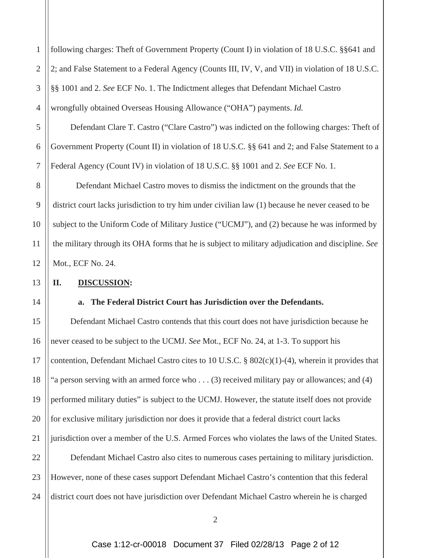following charges: Theft of Government Property (Count I) in violation of 18 U.S.C. §§641 and 2; and False Statement to a Federal Agency (Counts III, IV, V, and VII) in violation of 18 U.S.C. §§ 1001 and 2. *See* ECF No. 1. The Indictment alleges that Defendant Michael Castro wrongfully obtained Overseas Housing Allowance ("OHA") payments. *Id.*

Defendant Clare T. Castro ("Clare Castro") was indicted on the following charges: Theft of Government Property (Count II) in violation of 18 U.S.C. §§ 641 and 2; and False Statement to a Federal Agency (Count IV) in violation of 18 U.S.C. §§ 1001 and 2. *See* ECF No. 1.

 Defendant Michael Castro moves to dismiss the indictment on the grounds that the district court lacks jurisdiction to try him under civilian law (1) because he never ceased to be subject to the Uniform Code of Military Justice ("UCMJ"), and (2) because he was informed by the military through its OHA forms that he is subject to military adjudication and discipline. *See* Mot., ECF No. 24.

## **II. DISCUSSION:**

## **a. The Federal District Court has Jurisdiction over the Defendants.**

 Defendant Michael Castro contends that this court does not have jurisdiction because he never ceased to be subject to the UCMJ. *See* Mot., ECF No. 24, at 1-3. To support his contention, Defendant Michael Castro cites to 10 U.S.C.  $\S 802(c)(1)-(4)$ , wherein it provides that "a person serving with an armed force who . . . (3) received military pay or allowances; and (4) performed military duties" is subject to the UCMJ. However, the statute itself does not provide for exclusive military jurisdiction nor does it provide that a federal district court lacks jurisdiction over a member of the U.S. Armed Forces who violates the laws of the United States. Defendant Michael Castro also cites to numerous cases pertaining to military jurisdiction. However, none of these cases support Defendant Michael Castro's contention that this federal district court does not have jurisdiction over Defendant Michael Castro wherein he is charged

1

2

3

4

5

6

7

8

2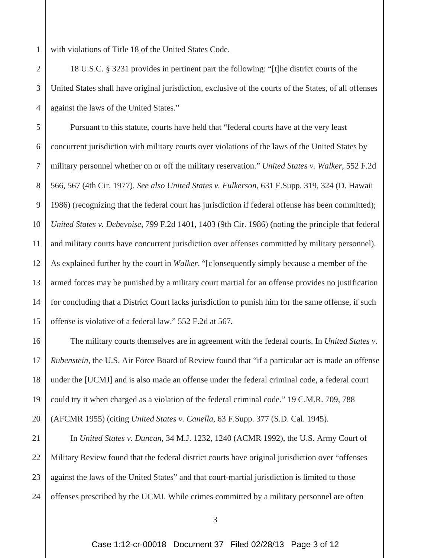1 with violations of Title 18 of the United States Code.

17

19

20

2 3 4 18 U.S.C. § 3231 provides in pertinent part the following: "[t]he district courts of the United States shall have original jurisdiction, exclusive of the courts of the States, of all offenses against the laws of the United States."

5 6 7 8 9 10 11 12 13 14 15 Pursuant to this statute, courts have held that "federal courts have at the very least concurrent jurisdiction with military courts over violations of the laws of the United States by military personnel whether on or off the military reservation." *United States v. Walker*, 552 F.2d 566, 567 (4th Cir. 1977). *See also United States v. Fulkerson*, 631 F.Supp. 319, 324 (D. Hawaii 1986) (recognizing that the federal court has jurisdiction if federal offense has been committed); *United States v. Debevoise*, 799 F.2d 1401, 1403 (9th Cir. 1986) (noting the principle that federal and military courts have concurrent jurisdiction over offenses committed by military personnel). As explained further by the court in *Walker*, "[c]onsequently simply because a member of the armed forces may be punished by a military court martial for an offense provides no justification for concluding that a District Court lacks jurisdiction to punish him for the same offense, if such offense is violative of a federal law." 552 F.2d at 567*.*

16 18 The military courts themselves are in agreement with the federal courts. In *United States v. Rubenstein*, the U.S. Air Force Board of Review found that "if a particular act is made an offense under the [UCMJ] and is also made an offense under the federal criminal code, a federal court could try it when charged as a violation of the federal criminal code." 19 C.M.R. 709, 788 (AFCMR 1955) (citing *United States v. Canella*, 63 F.Supp. 377 (S.D. Cal. 1945).

21 22 23 24 In *United States v. Duncan*, 34 M.J. 1232, 1240 (ACMR 1992), the U.S. Army Court of Military Review found that the federal district courts have original jurisdiction over "offenses against the laws of the United States" and that court-martial jurisdiction is limited to those offenses prescribed by the UCMJ. While crimes committed by a military personnel are often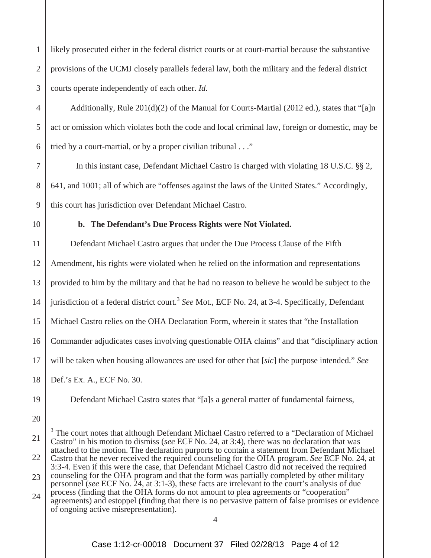1 2 3 likely prosecuted either in the federal district courts or at court-martial because the substantive provisions of the UCMJ closely parallels federal law, both the military and the federal district courts operate independently of each other. *Id.*

4 5 6 Additionally, Rule  $201(d)(2)$  of the Manual for Courts-Martial (2012 ed.), states that "[a]n act or omission which violates both the code and local criminal law, foreign or domestic, may be tried by a court-martial, or by a proper civilian tribunal . . ."

7 9 In this instant case, Defendant Michael Castro is charged with violating 18 U.S.C. §§ 2, 641, and 1001; all of which are "offenses against the laws of the United States." Accordingly, this court has jurisdiction over Defendant Michael Castro.

10

8

## **b. The Defendant's Due Process Rights were Not Violated.**

11 12 13 14 15 16 17 18 Defendant Michael Castro argues that under the Due Process Clause of the Fifth Amendment, his rights were violated when he relied on the information and representations provided to him by the military and that he had no reason to believe he would be subject to the jurisdiction of a federal district court.<sup>3</sup> *See* Mot., ECF No. 24, at 3-4. Specifically, Defendant Michael Castro relies on the OHA Declaration Form, wherein it states that "the Installation Commander adjudicates cases involving questionable OHA claims" and that "disciplinary action will be taken when housing allowances are used for other that [*sic*] the purpose intended." *See* Def.'s Ex. A., ECF No. 30.

19

Defendant Michael Castro states that "[a]s a general matter of fundamental fairness,

20

<sup>21</sup> 22 <sup>3</sup> The court notes that although Defendant Michael Castro referred to a "Declaration of Michael Castro" in his motion to dismiss (*see* ECF No. 24, at 3:4), there was no declaration that was attached to the motion. The declaration purports to contain a statement from Defendant Michael Castro that he never received the required counseling for the OHA program. *See* ECF No. 24, at 3:3-4. Even if this were the case, that Defendant Michael Castro did not received the required

<sup>23</sup> counseling for the OHA program and that the form was partially completed by other military personnel (*see* ECF No. 24, at 3:1-3), these facts are irrelevant to the court's analysis of due

<sup>24</sup> process (finding that the OHA forms do not amount to plea agreements or "cooperation" agreements) and estoppel (finding that there is no pervasive pattern of false promises or evidence of ongoing active misrepresentation).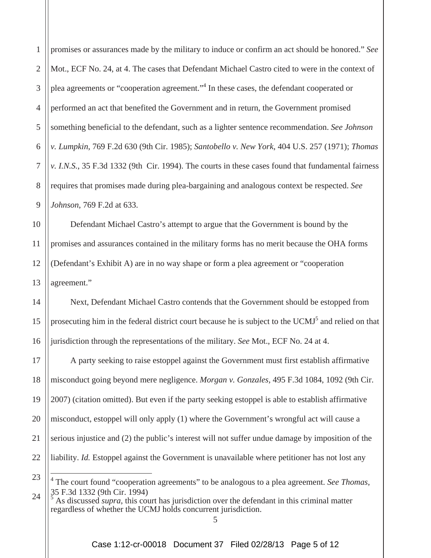1 2 3 4 5 6 7 8 9 promises or assurances made by the military to induce or confirm an act should be honored." *See* Mot., ECF No. 24, at 4. The cases that Defendant Michael Castro cited to were in the context of plea agreements or "cooperation agreement."<sup>4</sup> In these cases, the defendant cooperated or performed an act that benefited the Government and in return, the Government promised something beneficial to the defendant, such as a lighter sentence recommendation. *See Johnson v. Lumpkin*, 769 F.2d 630 (9th Cir. 1985); *Santobello v. New York*, 404 U.S. 257 (1971); *Thomas v. I.N.S.*, 35 F.3d 1332 (9th Cir. 1994). The courts in these cases found that fundamental fairness requires that promises made during plea-bargaining and analogous context be respected. *See Johnson*, 769 F.2d at 633.

10 11 12 13 Defendant Michael Castro's attempt to argue that the Government is bound by the promises and assurances contained in the military forms has no merit because the OHA forms (Defendant's Exhibit A) are in no way shape or form a plea agreement or "cooperation agreement."

14 15 16 Next, Defendant Michael Castro contends that the Government should be estopped from prosecuting him in the federal district court because he is subject to the UCMJ<sup>5</sup> and relied on that jurisdiction through the representations of the military. *See* Mot., ECF No. 24 at 4.

17 18 19 20 21 22 A party seeking to raise estoppel against the Government must first establish affirmative misconduct going beyond mere negligence. *Morgan v. Gonzales,* 495 F.3d 1084, 1092 (9th Cir. 2007) (citation omitted). But even if the party seeking estoppel is able to establish affirmative misconduct, estoppel will only apply (1) where the Government's wrongful act will cause a serious injustice and (2) the public's interest will not suffer undue damage by imposition of the liability. *Id.* Estoppel against the Government is unavailable where petitioner has not lost any

23

24

<sup>&</sup>lt;sup>4</sup> The court found "cooperation agreements" to be analogous to a plea agreement. *See Thomas*, 35 F.3d 1332 (9th Cir. 1994)

 $\frac{5}{5}$  As discussed *supra*, this court has jurisdiction over the defendant in this criminal matter regardless of whether the UCMJ holds concurrent jurisdiction.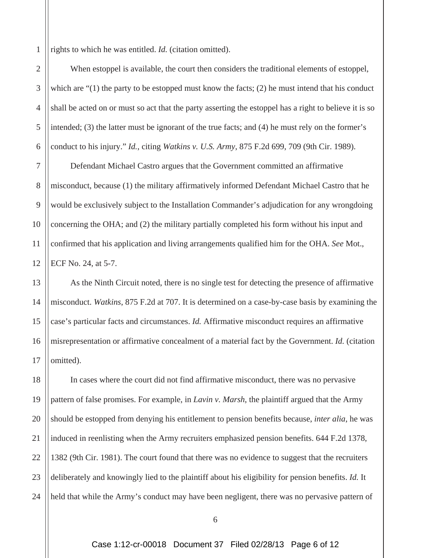1 rights to which he was entitled. *Id.* (citation omitted).

2

3 4 5 6 When estoppel is available, the court then considers the traditional elements of estoppel, which are "(1) the party to be estopped must know the facts; (2) he must intend that his conduct shall be acted on or must so act that the party asserting the estoppel has a right to believe it is so intended; (3) the latter must be ignorant of the true facts; and (4) he must rely on the former's conduct to his injury." *Id.*, citing *Watkins v. U.S. Army*, 875 F.2d 699, 709 (9th Cir. 1989).

7 8 9 10 11 12 Defendant Michael Castro argues that the Government committed an affirmative misconduct, because (1) the military affirmatively informed Defendant Michael Castro that he would be exclusively subject to the Installation Commander's adjudication for any wrongdoing concerning the OHA; and (2) the military partially completed his form without his input and confirmed that his application and living arrangements qualified him for the OHA. *See* Mot., ECF No. 24, at 5-7.

13 14 15 16 17 As the Ninth Circuit noted, there is no single test for detecting the presence of affirmative misconduct. *Watkins*, 875 F.2d at 707. It is determined on a case-by-case basis by examining the case's particular facts and circumstances. *Id.* Affirmative misconduct requires an affirmative misrepresentation or affirmative concealment of a material fact by the Government. *Id.* (citation omitted).

18 19 20 21 22 23 24 In cases where the court did not find affirmative misconduct, there was no pervasive pattern of false promises. For example, in *Lavin v. Marsh*, the plaintiff argued that the Army should be estopped from denying his entitlement to pension benefits because, *inter alia*, he was induced in reenlisting when the Army recruiters emphasized pension benefits. 644 F.2d 1378, 1382 (9th Cir. 1981). The court found that there was no evidence to suggest that the recruiters deliberately and knowingly lied to the plaintiff about his eligibility for pension benefits. *Id.* It held that while the Army's conduct may have been negligent, there was no pervasive pattern of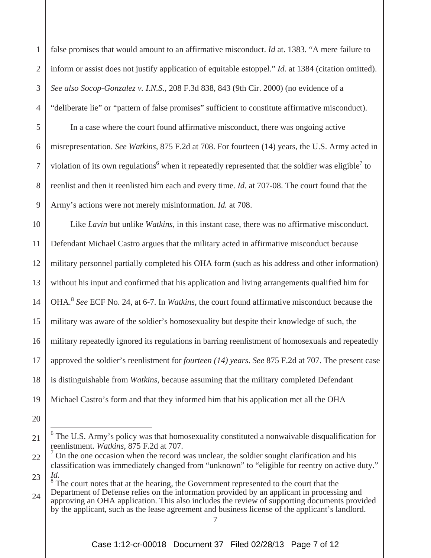1 2 3 4 5 6 7 8 9 10 11 12 false promises that would amount to an affirmative misconduct. *Id* at. 1383. "A mere failure to inform or assist does not justify application of equitable estoppel." *Id.* at 1384 (citation omitted). *See also Socop-Gonzalez v. I.N.S.*, 208 F.3d 838, 843 (9th Cir. 2000) (no evidence of a "deliberate lie" or "pattern of false promises" sufficient to constitute affirmative misconduct). In a case where the court found affirmative misconduct, there was ongoing active misrepresentation. *See Watkins*, 875 F.2d at 708. For fourteen (14) years, the U.S. Army acted in violation of its own regulations<sup>6</sup> when it repeatedly represented that the soldier was eligible<sup>7</sup> to reenlist and then it reenlisted him each and every time. *Id.* at 707-08. The court found that the Army's actions were not merely misinformation. *Id.* at 708. Like *Lavin* but unlike *Watkins*, in this instant case, there was no affirmative misconduct. Defendant Michael Castro argues that the military acted in affirmative misconduct because military personnel partially completed his OHA form (such as his address and other information)

13 without his input and confirmed that his application and living arrangements qualified him for

14 OHA.<sup>8</sup> *See* ECF No. 24, at 6-7. In *Watkins*, the court found affirmative misconduct because the

15 military was aware of the soldier's homosexuality but despite their knowledge of such, the

16 military repeatedly ignored its regulations in barring reenlistment of homosexuals and repeatedly

17 approved the soldier's reenlistment for *fourteen (14) years*. *See* 875 F.2d at 707. The present case

18 is distinguishable from *Watkins*, because assuming that the military completed Defendant

19 Michael Castro's form and that they informed him that his application met all the OHA

20

21

24  $8<sup>8</sup>$  The court notes that at the hearing, the Government represented to the court that the Department of Defense relies on the information provided by an applicant in processing and approving an OHA application. This also includes the review of supporting documents provided

by the applicant, such as the lease agreement and business license of the applicant's landlord.

<sup>&</sup>lt;sup>6</sup> The U.S. Army's policy was that homosexuality constituted a nonwaivable disqualification for reenlistment. *Watkins*, 875 F.2d at 707.

<sup>22</sup> 23  $<sup>7</sup>$  On the one occasion when the record was unclear, the soldier sought clarification and his</sup> classification was immediately changed from "unknown" to "eligible for reentry on active duty." *Id.*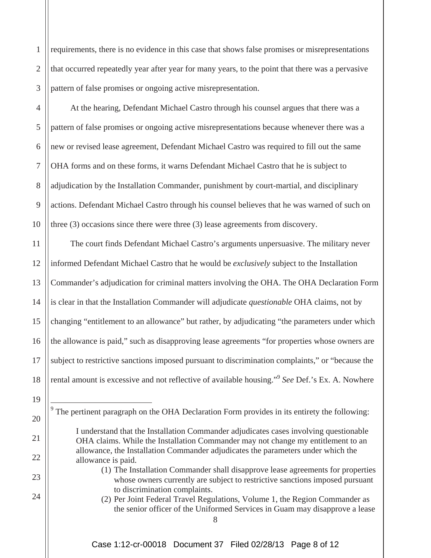requirements, there is no evidence in this case that shows false promises or misrepresentations that occurred repeatedly year after year for many years, to the point that there was a pervasive pattern of false promises or ongoing active misrepresentation.

 At the hearing, Defendant Michael Castro through his counsel argues that there was a pattern of false promises or ongoing active misrepresentations because whenever there was a new or revised lease agreement, Defendant Michael Castro was required to fill out the same OHA forms and on these forms, it warns Defendant Michael Castro that he is subject to adjudication by the Installation Commander, punishment by court-martial, and disciplinary actions. Defendant Michael Castro through his counsel believes that he was warned of such on three (3) occasions since there were three (3) lease agreements from discovery.

11 12 13 14 15 16 17 18 The court finds Defendant Michael Castro's arguments unpersuasive. The military never informed Defendant Michael Castro that he would be *exclusively* subject to the Installation Commander's adjudication for criminal matters involving the OHA. The OHA Declaration Form is clear in that the Installation Commander will adjudicate *questionable* OHA claims, not by changing "entitlement to an allowance" but rather, by adjudicating "the parameters under which the allowance is paid," such as disapproving lease agreements "for properties whose owners are subject to restrictive sanctions imposed pursuant to discrimination complaints," or "because the rental amount is excessive and not reflective of available housing."9 *See* Def.'s Ex. A. Nowhere

19

20

21

22

23

24

1

2

3

4

5

6

7

8

9

10

(2) Per Joint Federal Travel Regulations, Volume 1, the Region Commander as the senior officer of the Uniformed Services in Guam may disapprove a lease

 $9<sup>9</sup>$  The pertinent paragraph on the OHA Declaration Form provides in its entirety the following:

I understand that the Installation Commander adjudicates cases involving questionable OHA claims. While the Installation Commander may not change my entitlement to an allowance, the Installation Commander adjudicates the parameters under which the allowance is paid.

<sup>(1)</sup> The Installation Commander shall disapprove lease agreements for properties whose owners currently are subject to restrictive sanctions imposed pursuant to discrimination complaints.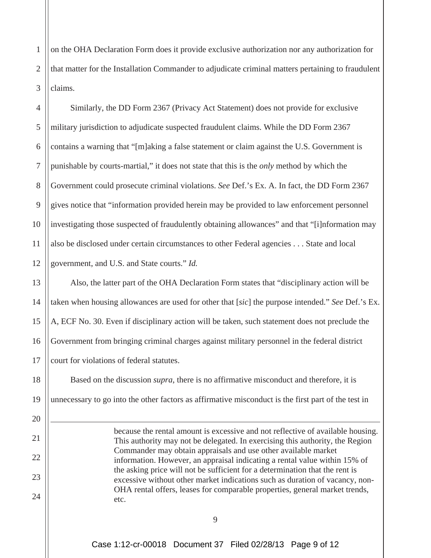1 2 3 on the OHA Declaration Form does it provide exclusive authorization nor any authorization for that matter for the Installation Commander to adjudicate criminal matters pertaining to fraudulent claims.

4 5 6 7 8 9 10 11 12 Similarly, the DD Form 2367 (Privacy Act Statement) does not provide for exclusive military jurisdiction to adjudicate suspected fraudulent claims. While the DD Form 2367 contains a warning that "[m]aking a false statement or claim against the U.S. Government is punishable by courts-martial," it does not state that this is the *only* method by which the Government could prosecute criminal violations. *See* Def.'s Ex. A. In fact, the DD Form 2367 gives notice that "information provided herein may be provided to law enforcement personnel investigating those suspected of fraudulently obtaining allowances" and that "[i]nformation may also be disclosed under certain circumstances to other Federal agencies . . . State and local government, and U.S. and State courts." *Id.* 

13 14 15 16 17 Also, the latter part of the OHA Declaration Form states that "disciplinary action will be taken when housing allowances are used for other that [*sic*] the purpose intended." *See* Def.'s Ex. A, ECF No. 30. Even if disciplinary action will be taken, such statement does not preclude the Government from bringing criminal charges against military personnel in the federal district court for violations of federal statutes.

 Based on the discussion *supra*, there is no affirmative misconduct and therefore, it is unnecessary to go into the other factors as affirmative misconduct is the first part of the test in

18

19

20

21

22

23

24

because the rental amount is excessive and not reflective of available housing. This authority may not be delegated. In exercising this authority, the Region Commander may obtain appraisals and use other available market information. However, an appraisal indicating a rental value within 15% of the asking price will not be sufficient for a determination that the rent is excessive without other market indications such as duration of vacancy, non-OHA rental offers, leases for comparable properties, general market trends, etc.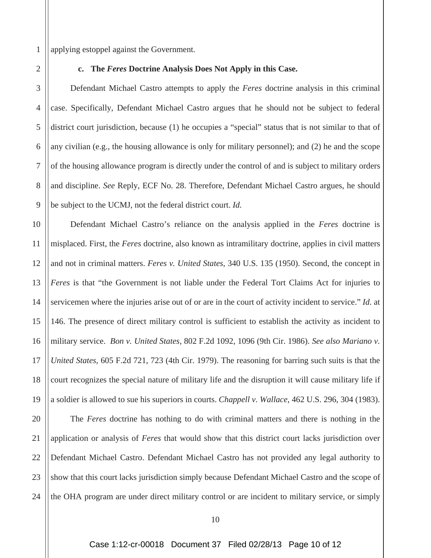1 applying estoppel against the Government.

2

3

4

5

6

7

8

9

#### **c. The** *Feres* **Doctrine Analysis Does Not Apply in this Case.**

 Defendant Michael Castro attempts to apply the *Feres* doctrine analysis in this criminal case. Specifically, Defendant Michael Castro argues that he should not be subject to federal district court jurisdiction, because (1) he occupies a "special" status that is not similar to that of any civilian (e.g., the housing allowance is only for military personnel); and (2) he and the scope of the housing allowance program is directly under the control of and is subject to military orders and discipline. *See* Reply, ECF No. 28. Therefore, Defendant Michael Castro argues, he should be subject to the UCMJ, not the federal district court. *Id.* 

10 11 12 13 14 15 16 17 18 19 Defendant Michael Castro's reliance on the analysis applied in the *Feres* doctrine is misplaced. First, the *Feres* doctrine, also known as intramilitary doctrine, applies in civil matters and not in criminal matters. *Feres v. United States*, 340 U.S. 135 (1950). Second, the concept in *Feres* is that "the Government is not liable under the Federal Tort Claims Act for injuries to servicemen where the injuries arise out of or are in the court of activity incident to service." *Id.* at 146. The presence of direct military control is sufficient to establish the activity as incident to military service. *Bon v. United States*, 802 F.2d 1092, 1096 (9th Cir. 1986). *See also Mariano v. United States*, 605 F.2d 721, 723 (4th Cir. 1979). The reasoning for barring such suits is that the court recognizes the special nature of military life and the disruption it will cause military life if a soldier is allowed to sue his superiors in courts. *Chappell v. Wallace*, 462 U.S. 296, 304 (1983).

20 21 22 23 24 The *Feres* doctrine has nothing to do with criminal matters and there is nothing in the application or analysis of *Feres* that would show that this district court lacks jurisdiction over Defendant Michael Castro. Defendant Michael Castro has not provided any legal authority to show that this court lacks jurisdiction simply because Defendant Michael Castro and the scope of the OHA program are under direct military control or are incident to military service, or simply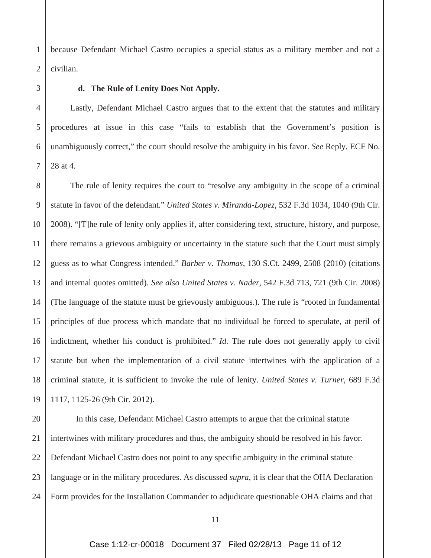1 2 because Defendant Michael Castro occupies a special status as a military member and not a civilian.

3 4

5

6

7

## **d. The Rule of Lenity Does Not Apply.**

 Lastly, Defendant Michael Castro argues that to the extent that the statutes and military procedures at issue in this case "fails to establish that the Government's position is unambiguously correct," the court should resolve the ambiguity in his favor. *See* Reply, ECF No. 28 at 4.

8 9 10 11 12 13 14 15 16 17 18 19 The rule of lenity requires the court to "resolve any ambiguity in the scope of a criminal statute in favor of the defendant." *United States v. Miranda-Lopez*, 532 F.3d 1034, 1040 (9th Cir. 2008). "[T]he rule of lenity only applies if, after considering text, structure, history, and purpose, there remains a grievous ambiguity or uncertainty in the statute such that the Court must simply guess as to what Congress intended." *Barber v. Thomas*, 130 S.Ct. 2499, 2508 (2010) (citations and internal quotes omitted). *See also United States v. Nader*, 542 F.3d 713, 721 (9th Cir. 2008) (The language of the statute must be grievously ambiguous.). The rule is "rooted in fundamental principles of due process which mandate that no individual be forced to speculate, at peril of indictment, whether his conduct is prohibited." *Id.* The rule does not generally apply to civil statute but when the implementation of a civil statute intertwines with the application of a criminal statute, it is sufficient to invoke the rule of lenity. *United States v. Turner*, 689 F.3d 1117, 1125-26 (9th Cir. 2012).

20 21 22 23 24 In this case, Defendant Michael Castro attempts to argue that the criminal statute intertwines with military procedures and thus, the ambiguity should be resolved in his favor. Defendant Michael Castro does not point to any specific ambiguity in the criminal statute language or in the military procedures. As discussed *supra*, it is clear that the OHA Declaration Form provides for the Installation Commander to adjudicate questionable OHA claims and that

Case 1:12-cr-00018 Document 37 Filed 02/28/13 Page 11 of 12